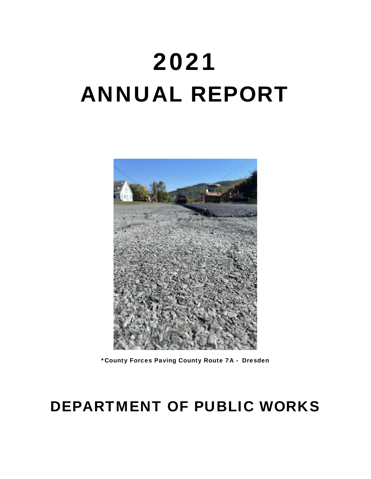# 2021 ANNUAL REPORT



\*County Forces Paving County Route 7A - Dresden

# DEPARTMENT OF PUBLIC WORKS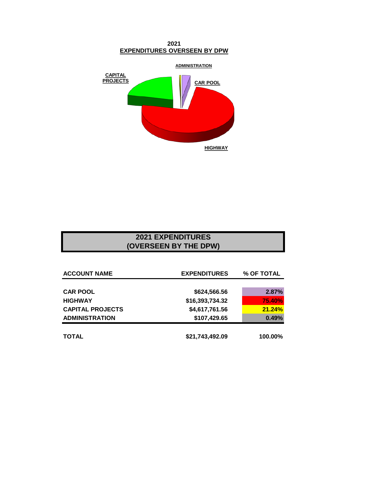**2021 EXPENDITURES OVERSEEN BY DPW**



### **2021 EXPENDITURES (OVERSEEN BY THE DPW)**

| <b>ACCOUNT NAME</b>     | <b>EXPENDITURES</b> | % OF TOTAL |  |
|-------------------------|---------------------|------------|--|
|                         |                     |            |  |
| <b>CAR POOL</b>         | \$624,566.56        | 2.87%      |  |
| <b>HIGHWAY</b>          | \$16,393,734.32     | 75.40%     |  |
| <b>CAPITAL PROJECTS</b> | \$4,617,761.56      | 21.24%     |  |
| <b>ADMINISTRATION</b>   | \$107,429.65        | 0.49%      |  |
| <b>TOTAL</b>            | \$21,743,492.09     | 100.00%    |  |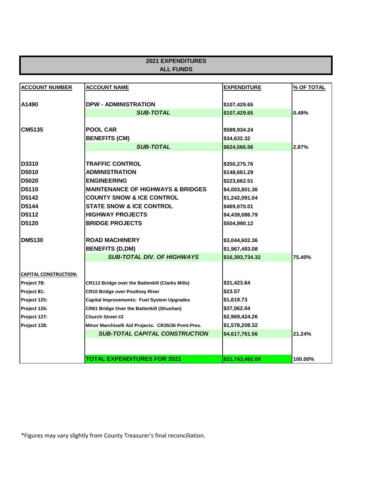| <b>2021 EXPENDITURES</b>     |                                                        |                    |            |  |  |
|------------------------------|--------------------------------------------------------|--------------------|------------|--|--|
|                              | <b>ALL FUNDS</b>                                       |                    |            |  |  |
|                              |                                                        |                    |            |  |  |
| <b>ACCOUNT NUMBER</b>        | <b>ACCOUNT NAME</b>                                    | <b>EXPENDITURE</b> | % OF TOTAL |  |  |
|                              |                                                        |                    |            |  |  |
| A1490                        | <b>DPW - ADMINISTRATION</b>                            | \$107,429.65       |            |  |  |
|                              | <b>SUB-TOTAL</b>                                       | \$107,429.65       | 0.49%      |  |  |
|                              |                                                        |                    |            |  |  |
| CM5135                       | <b>POOL CAR</b>                                        | \$589,934.24       |            |  |  |
|                              | <b>BENEFITS (CM)</b>                                   | \$34,632.32        |            |  |  |
|                              | <b>SUB-TOTAL</b>                                       | \$624,566.56       | 2.87%      |  |  |
|                              |                                                        |                    |            |  |  |
| D3310                        | <b>TRAFFIC CONTROL</b>                                 | \$350,275.76       |            |  |  |
| D5010                        | <b>ADMINISTRATION</b>                                  | \$148,661.29       |            |  |  |
| D5020                        | <b>ENGINEERING</b>                                     | \$223,662.51       |            |  |  |
| D5110                        | <b>MAINTENANCE OF HIGHWAYS &amp; BRIDGES</b>           | \$4,003,801.36     |            |  |  |
| D5142                        | <b>COUNTY SNOW &amp; ICE CONTROL</b>                   | \$1,242,091.04     |            |  |  |
| D5144                        | <b>STATE SNOW &amp; ICE CONTROL</b>                    | \$469,070.01       |            |  |  |
| D5112                        | <b>HIGHWAY PROJECTS</b>                                | \$4,439,086.79     |            |  |  |
| D5120                        | <b>BRIDGE PROJECTS</b>                                 | \$504,990.12       |            |  |  |
|                              |                                                        |                    |            |  |  |
| <b>DM5130</b>                | <b>ROAD MACHINERY</b>                                  | \$3,044,602.36     |            |  |  |
|                              | <b>BENEFITS (D,DM)</b>                                 | \$1,967,493.08     |            |  |  |
|                              | <b>SUB-TOTAL DIV. OF HIGHWAYS</b>                      | \$16,393,734.32    | 75.40%     |  |  |
| <b>CAPITAL CONSTRUCTION:</b> |                                                        |                    |            |  |  |
| Project 78:                  | <b>CR113 Bridge over the Battenkill (Clarks Mills)</b> | \$31,423.64        |            |  |  |
| Project 81:                  | <b>CR10 Bridge over Poultney River</b>                 | \$23.57            |            |  |  |
| Project 125:                 | Capital Improvements: Fuel System Upgrades             | \$1,619.73         |            |  |  |
| Project 126:                 | <b>CR61 Bridge Over the Battenkill (Shushan)</b>       | \$37,062.04        |            |  |  |
| Project 127:                 | <b>Church Street #2</b>                                | \$2,969,424.26     |            |  |  |
| Project 128:                 | Minor Marchiselli Aid Projects: CR35/36 Pvmt.Pres.     | \$1,578,208.32     |            |  |  |
|                              | <b>SUB-TOTAL CAPITAL CONSTRUCTION</b>                  | \$4,617,761.56     | 21.24%     |  |  |
|                              |                                                        |                    |            |  |  |
|                              |                                                        |                    |            |  |  |
|                              | TOTAL EXPENDITURES FOR 2021                            | \$21,743,492.09    | 100.00%    |  |  |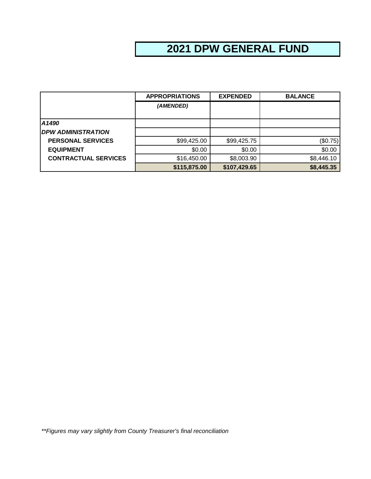# **2021 DPW GENERAL FUND**

|                             | <b>APPROPRIATIONS</b> | <b>EXPENDED</b> | <b>BALANCE</b> |
|-----------------------------|-----------------------|-----------------|----------------|
|                             | (AMENDED)             |                 |                |
|                             |                       |                 |                |
| A1490                       |                       |                 |                |
| <b>DPW ADMINISTRATION</b>   |                       |                 |                |
| <b>PERSONAL SERVICES</b>    | \$99,425.00           | \$99,425.75     | (\$0.75)       |
| <b>EQUIPMENT</b>            | \$0.00                | \$0.00          | \$0.00         |
| <b>CONTRACTUAL SERVICES</b> | \$16,450.00           | \$8,003.90      | \$8,446.10     |
|                             | \$115,875.00          | \$107,429.65    | \$8,445.35     |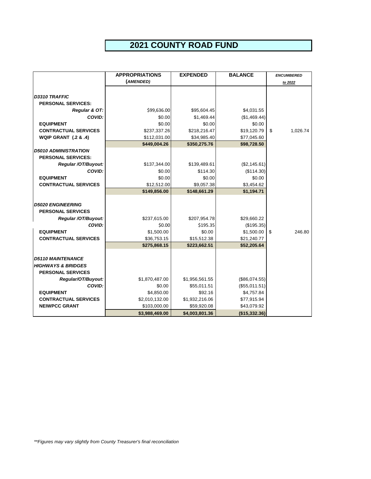## **2021 COUNTY ROAD FUND**

|                                 | <b>APPROPRIATIONS</b> | <b>EXPENDED</b> | <b>BALANCE</b> | <b>ENCUMBERED</b> |
|---------------------------------|-----------------------|-----------------|----------------|-------------------|
|                                 | (AMENDED)             |                 |                | to 2022           |
|                                 |                       |                 |                |                   |
| D3310 TRAFFIC                   |                       |                 |                |                   |
| <b>PERSONAL SERVICES:</b>       |                       |                 |                |                   |
| Regular & OT:                   | \$99,636.00           | \$95,604.45     | \$4,031.55     |                   |
| COVID:                          | \$0.00                | \$1,469.44      | (\$1,469.44)   |                   |
| <b>EQUIPMENT</b>                | \$0.00                | \$0.00          | \$0.00         |                   |
| <b>CONTRACTUAL SERVICES</b>     | \$237,337.26          | \$218,216.47    | \$19,120.79    | \$<br>1,026.74    |
| <b>WQIP GRANT (.2 &amp; .4)</b> | \$112,031.00          | \$34,985.40     | \$77,045.60    |                   |
|                                 | \$449,004.26          | \$350,275.76    | \$98,728.50    |                   |
| <b>D5010 ADMINISTRATION</b>     |                       |                 |                |                   |
| <b>PERSONAL SERVICES:</b>       |                       |                 |                |                   |
| Regular /OT/Buyout:             | \$137,344.00          | \$139,489.61    | (\$2,145.61)   |                   |
| COVID:                          | \$0.00                | \$114.30        | (\$114.30)     |                   |
| <b>EQUIPMENT</b>                | \$0.00                | \$0.00          | \$0.00         |                   |
| <b>CONTRACTUAL SERVICES</b>     | \$12,512.00           | \$9,057.38      | \$3,454.62     |                   |
|                                 | \$149,856.00          | \$148,661.29    | \$1,194.71     |                   |
|                                 |                       |                 |                |                   |
| <b>D5020 ENGINEERING</b>        |                       |                 |                |                   |
| <b>PERSONAL SERVICES</b>        |                       |                 |                |                   |
| Regular /OT/Buyout:             | \$237,615.00          | \$207,954.78    | \$29,660.22    |                   |
| COVID:                          | \$0.00                | \$195.35        | (\$195.35)     |                   |
| <b>EQUIPMENT</b>                | \$1,500.00            | \$0.00          | \$1,500.00     | 246.80<br>\$      |
| <b>CONTRACTUAL SERVICES</b>     | \$36,753.15           | \$15,512.38     | \$21,240.77    |                   |
|                                 | \$275,868.15          | \$223,662.51    | \$52,205.64    |                   |
|                                 |                       |                 |                |                   |
| <b>D5110 MAINTENANCE</b>        |                       |                 |                |                   |
| <b>HIGHWAYS &amp; BRIDGES</b>   |                       |                 |                |                   |
| <b>PERSONAL SERVICES</b>        |                       |                 |                |                   |
| Regular/OT/Buyout:              | \$1,870,487.00        | \$1,956,561.55  | (\$86,074.55)  |                   |
| COVID:                          | \$0.00                | \$55,011.51     | (\$55,011.51)  |                   |
| <b>EQUIPMENT</b>                | \$4,850.00            | \$92.16         | \$4,757.84     |                   |
| <b>CONTRACTUAL SERVICES</b>     | \$2,010,132.00        | \$1,932,216.06  | \$77,915.94    |                   |
| <b>NEIWPCC GRANT</b>            | \$103,000.00          | \$59,920.08     | \$43,079.92    |                   |
|                                 | \$3,988,469.00        | \$4,003,801.36  | (\$15,332.36)  |                   |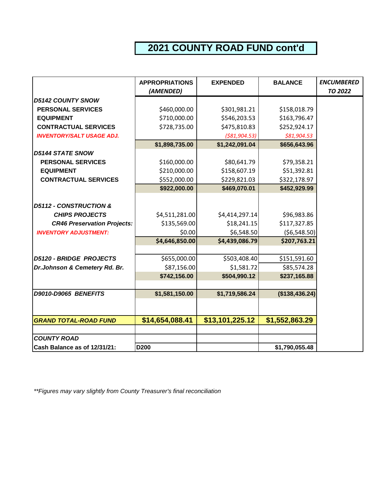# **2021 COUNTY ROAD FUND cont'd**

|                                    | <b>APPROPRIATIONS</b> | <b>EXPENDED</b> | <b>BALANCE</b> | <b>ENCUMBERED</b> |
|------------------------------------|-----------------------|-----------------|----------------|-------------------|
|                                    | (AMENDED)             |                 |                | <b>TO 2022</b>    |
| <b>D5142 COUNTY SNOW</b>           |                       |                 |                |                   |
| <b>PERSONAL SERVICES</b>           | \$460,000.00          | \$301,981.21    | \$158,018.79   |                   |
| <b>EQUIPMENT</b>                   | \$710,000.00          | \$546,203.53    | \$163,796.47   |                   |
| <b>CONTRACTUAL SERVICES</b>        | \$728,735.00          | \$475,810.83    | \$252,924.17   |                   |
| <b>INVENTORY/SALT USAGE ADJ.</b>   |                       | ( \$81, 904.53) | \$81,904.53    |                   |
|                                    | \$1,898,735.00        | \$1,242,091.04  | \$656,643.96   |                   |
| <b>D5144 STATE SNOW</b>            |                       |                 |                |                   |
| <b>PERSONAL SERVICES</b>           | \$160,000.00          | \$80,641.79     | \$79,358.21    |                   |
| <b>EQUIPMENT</b>                   | \$210,000.00          | \$158,607.19    | \$51,392.81    |                   |
| <b>CONTRACTUAL SERVICES</b>        | \$552,000.00          | \$229,821.03    | \$322,178.97   |                   |
|                                    | \$922,000.00          | \$469,070.01    | \$452,929.99   |                   |
|                                    |                       |                 |                |                   |
| <b>D5112 - CONSTRUCTION &amp;</b>  |                       |                 |                |                   |
| <b>CHIPS PROJECTS</b>              | \$4,511,281.00        | \$4,414,297.14  | \$96,983.86    |                   |
| <b>CR46 Preservation Projects:</b> | \$135,569.00          | \$18,241.15     | \$117,327.85   |                   |
| <b>INVENTORY ADJUSTMENT:</b>       | \$0.00                | \$6,548.50      | ( \$6,548.50)  |                   |
|                                    | \$4,646,850.00        | \$4,439,086.79  | \$207,763.21   |                   |
|                                    |                       |                 |                |                   |
| <b>D5120 - BRIDGE PROJECTS</b>     | \$655,000.00          | \$503,408.40    | \$151,591.60   |                   |
| Dr.Johnson & Cemetery Rd. Br.      | \$87,156.00           | \$1,581.72      | \$85,574.28    |                   |
|                                    | \$742,156.00          | \$504,990.12    | \$237,165.88   |                   |
|                                    |                       |                 |                |                   |
| D9010-D9065 BENEFITS               | \$1,581,150.00        | \$1,719,586.24  | (\$138,436.24) |                   |
|                                    |                       |                 |                |                   |
| <b>GRAND TOTAL-ROAD FUND</b>       | \$14,654,088.41       | \$13,101,225.12 | \$1,552,863.29 |                   |
|                                    |                       |                 |                |                   |
| <b>COUNTY ROAD</b>                 |                       |                 |                |                   |
| Cash Balance as of 12/31/21:       | <b>D200</b>           |                 | \$1,790,055.48 |                   |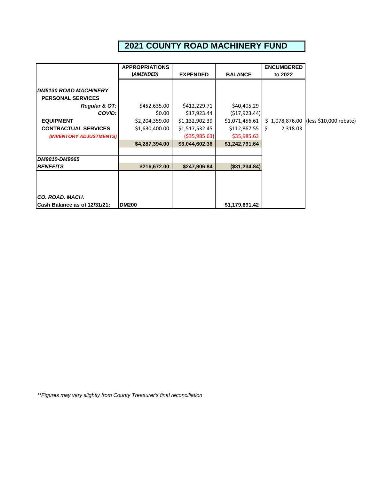# **2021 COUNTY ROAD MACHINERY FUND**

|                                     | <b>APPROPRIATIONS</b> |                 |                | <b>ENCUMBERED</b> |                                         |
|-------------------------------------|-----------------------|-----------------|----------------|-------------------|-----------------------------------------|
|                                     | (AMENDED)             | <b>EXPENDED</b> | <b>BALANCE</b> | to 2022           |                                         |
|                                     |                       |                 |                |                   |                                         |
| <b>DM5130 ROAD MACHINERY</b>        |                       |                 |                |                   |                                         |
| <b>PERSONAL SERVICES</b>            |                       |                 |                |                   |                                         |
| Regular & OT:                       | \$452,635.00          | \$412,229.71    | \$40,405.29    |                   |                                         |
| COVID:                              | \$0.00                | \$17,923.44     | (517, 923.44)  |                   |                                         |
| <b>EQUIPMENT</b>                    | \$2,204,359.00        | \$1,132,902.39  | \$1,071,456.61 | \$1,078,876.00    | $(\text{less } $10,000 \text{ rebate})$ |
| <b>CONTRACTUAL SERVICES</b>         | \$1,630,400.00        | \$1,517,532.45  | \$112,867.55   | \$<br>2,318.03    |                                         |
| (INVENTORY ADJUSTMENTS)             |                       | ( \$35, 985.63) | \$35,985.63    |                   |                                         |
|                                     | \$4,287,394.00        | \$3,044,602.36  | \$1,242,791.64 |                   |                                         |
|                                     |                       |                 |                |                   |                                         |
| DM9010-DM9065                       |                       |                 |                |                   |                                         |
| <b>BENEFITS</b>                     | \$216,672.00          | \$247,906.84    | (\$31,234.84)  |                   |                                         |
|                                     |                       |                 |                |                   |                                         |
|                                     |                       |                 |                |                   |                                         |
| CO. ROAD. MACH.                     |                       |                 |                |                   |                                         |
| <b>Cash Balance as of 12/31/21:</b> | <b>DM200</b>          |                 | \$1,179,691.42 |                   |                                         |
|                                     |                       |                 |                |                   |                                         |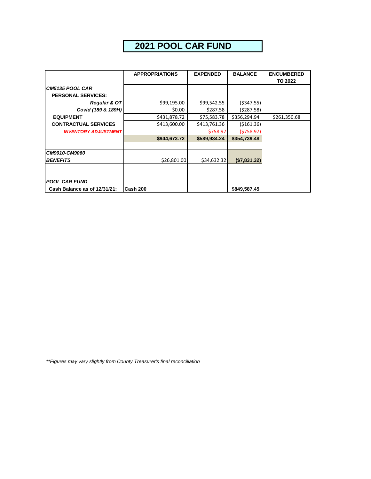# **2021 POOL CAR FUND**

|                              | <b>APPROPRIATIONS</b> | <b>EXPENDED</b> | <b>BALANCE</b> | <b>ENCUMBERED</b> |
|------------------------------|-----------------------|-----------------|----------------|-------------------|
|                              |                       |                 |                | <b>TO 2022</b>    |
| CM5135 POOL CAR              |                       |                 |                |                   |
| <b>PERSONAL SERVICES:</b>    |                       |                 |                |                   |
| <b>Regular &amp; OT</b>      | \$99,195.00           | \$99,542.55     | ( \$347.55)    |                   |
| Covid (189 & 189H)           | \$0.00                | \$287.58        | (5287.58)      |                   |
| <b>EQUIPMENT</b>             | \$431,878.72          | \$75,583.78     | \$356,294.94   | \$261,350.68      |
| <b>CONTRACTUAL SERVICES</b>  | \$413,600.00          | \$413,761.36    | ( \$161.36)    |                   |
| <b>INVENTORY ADJUSTMENT</b>  |                       | \$758.97        | (5758.97)      |                   |
|                              | \$944,673.72          | \$589,934.24    | \$354,739.48   |                   |
|                              |                       |                 |                |                   |
| CM9010-CM9060                |                       |                 |                |                   |
| <b>BENEFITS</b>              | \$26,801.00           | \$34,632.32     | (\$7,831.32)   |                   |
|                              |                       |                 |                |                   |
|                              |                       |                 |                |                   |
| <b>POOL CAR FUND</b>         |                       |                 |                |                   |
| Cash Balance as of 12/31/21: | Cash 200              |                 | \$849,587.45   |                   |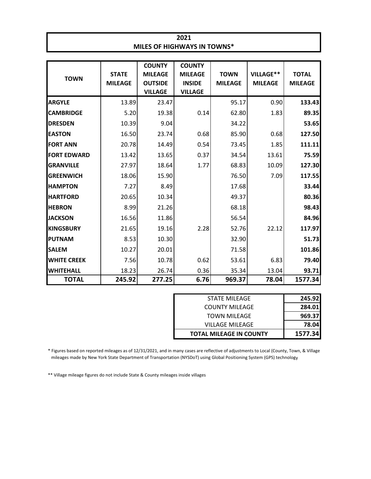| 2021                               |
|------------------------------------|
| <b>MILES OF HIGHWAYS IN TOWNS*</b> |
|                                    |

| <b>TOWN</b>        | <b>STATE</b><br><b>MILEAGE</b> | <b>COUNTY</b><br><b>MILEAGE</b><br><b>OUTSIDE</b><br><b>VILLAGE</b> | <b>COUNTY</b><br><b>MILEAGE</b><br><b>INSIDE</b><br><b>VILLAGE</b> | <b>TOWN</b><br><b>MILEAGE</b> | VILLAGE**<br><b>MILEAGE</b> | <b>TOTAL</b><br><b>MILEAGE</b> |
|--------------------|--------------------------------|---------------------------------------------------------------------|--------------------------------------------------------------------|-------------------------------|-----------------------------|--------------------------------|
| <b>ARGYLE</b>      | 13.89                          | 23.47                                                               |                                                                    | 95.17                         | 0.90                        | 133.43                         |
| <b>CAMBRIDGE</b>   | 5.20                           | 19.38                                                               | 0.14                                                               | 62.80                         | 1.83                        | 89.35                          |
| <b>DRESDEN</b>     | 10.39                          | 9.04                                                                |                                                                    | 34.22                         |                             | 53.65                          |
| <b>EASTON</b>      | 16.50                          | 23.74                                                               | 0.68                                                               | 85.90                         | 0.68                        | 127.50                         |
| <b>FORT ANN</b>    | 20.78                          | 14.49                                                               | 0.54                                                               | 73.45                         | 1.85                        | 111.11                         |
| <b>FORT EDWARD</b> | 13.42                          | 13.65                                                               | 0.37                                                               | 34.54                         | 13.61                       | 75.59                          |
| <b>GRANVILLE</b>   | 27.97                          | 18.64                                                               | 1.77                                                               | 68.83                         | 10.09                       | 127.30                         |
| <b>GREENWICH</b>   | 18.06                          | 15.90                                                               |                                                                    | 76.50                         | 7.09                        | 117.55                         |
| <b>HAMPTON</b>     | 7.27                           | 8.49                                                                |                                                                    | 17.68                         |                             | 33.44                          |
| <b>HARTFORD</b>    | 20.65                          | 10.34                                                               |                                                                    | 49.37                         |                             | 80.36                          |
| <b>HEBRON</b>      | 8.99                           | 21.26                                                               |                                                                    | 68.18                         |                             | 98.43                          |
| <b>JACKSON</b>     | 16.56                          | 11.86                                                               |                                                                    | 56.54                         |                             | 84.96                          |
| <b>KINGSBURY</b>   | 21.65                          | 19.16                                                               | 2.28                                                               | 52.76                         | 22.12                       | 117.97                         |
| PUTNAM             | 8.53                           | 10.30                                                               |                                                                    | 32.90                         |                             | 51.73                          |
| <b>SALEM</b>       | 10.27                          | 20.01                                                               |                                                                    | 71.58                         |                             | 101.86                         |
| <b>WHITE CREEK</b> | 7.56                           | 10.78                                                               | 0.62                                                               | 53.61                         | 6.83                        | 79.40                          |
| <b>WHITEHALL</b>   | 18.23                          | 26.74                                                               | 0.36                                                               | 35.34                         | 13.04                       | 93.71                          |
| <b>TOTAL</b>       | 245.92                         | 277.25                                                              | 6.76                                                               | 969.37                        | 78.04                       | 1577.34                        |

| STATE MILEAGE                  | 245.92  |
|--------------------------------|---------|
| <b>COUNTY MILEAGE</b>          | 284.01  |
| <b>TOWN MILEAGE</b>            | 969.37  |
| VILLAGE MILEAGE                | 78.04   |
| <b>TOTAL MILEAGE IN COUNTY</b> | 1577.34 |

\* Figures based on reported mileages as of 12/31/2021, and in many cases are reflective of adjustments to Local (County, Town, & Village mileages made by New York State Department of Transportation (NYSDoT) using Global Positioning System (GPS) technology

\*\* Village mileage figures do not include State & County mileages inside villages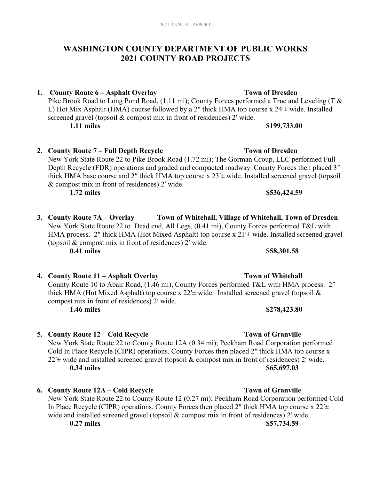### **WASHINGTON COUNTY DEPARTMENT OF PUBLIC WORKS 2021 COUNTY ROAD PROJECTS**

**1. County Route 6 – Asphalt Overlay Town of Dresden** 

Pike Brook Road to Long Pond Road, (1.11 mi); County Forces performed a True and Leveling (T & L) Hot Mix Asphalt (HMA) course followed by a 2″ thick HMA top course x 24′± wide. Installed screened gravel (topsoil & compost mix in front of residences) 2' wide.

**2. County Route 7 – Full Depth Recycle Town of Dresden** 

New York State Route 22 to Pike Brook Road (1.72 mi); The Gorman Group, LLC performed Full Depth Recycle (FDR) operations and graded and compacted roadway. County Forces then placed 3″ thick HMA base course and 2″ thick HMA top course x 23′± wide. Installed screened gravel (topsoil & compost mix in front of residences) 2′ wide.

**1.72 miles \$536,424.59**

- **3. County Route 7A Overlay Town of Whitehall, Village of Whitehall, Town of Dresden**  New York State Route 22 to Dead end, All Legs, (0.41 mi), County Forces performed T&L with HMA process. 2″ thick HMA (Hot Mixed Asphalt) top course x 21′± wide. Installed screened gravel (topsoil & compost mix in front of residences) 2′ wide. **0.41 miles** \$58,301.58
- **4. County Route 11 Asphalt Overlay Town of Whitehall**  County Route 10 to Abair Road, (1.46 mi), County Forces performed T&L with HMA process. 2″ thick HMA (Hot Mixed Asphalt) top course x  $22' \pm$  wide. Installed screened gravel (topsoil & compost mix in front of residences) 2′ wide. **1.46 miles** \$278,423.80
- **5.** County Route 12 Cold Recycle **Town of Granville** New York State Route 22 to County Route 12A (0.34 mi); Peckham Road Corporation performed Cold In Place Recycle (CIPR) operations. County Forces then placed 2″ thick HMA top course x  $22'$ ± wide and installed screened gravel (topsoil & compost mix in front of residences) 2' wide. **0.34 miles** \$65,697.03
- **6. County Route 12A Cold Recycle Town of Granville**  New York State Route 22 to County Route 12 (0.27 mi); Peckham Road Corporation performed Cold In Place Recycle (CIPR) operations. County Forces then placed 2" thick HMA top course  $x 22' \pm$ wide and installed screened gravel (topsoil & compost mix in front of residences) 2' wide. **0.27 miles \$57,734.59**

### **1.11 miles \$199,733.00**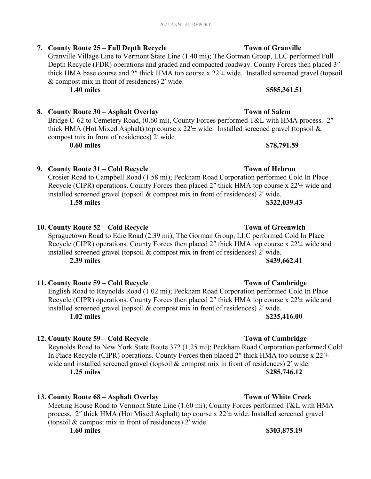### **7. County Route 25 – Full Depth Recycle Town of Granville**

Granville Village Line to Vermont State Line (1.40 mi); The Gorman Group, LLC performed Full Depth Recycle (FDR) operations and graded and compacted roadway. County Forces then placed 3″ thick HMA base course and 2″ thick HMA top course x 22′± wide. Installed screened gravel (topsoil & compost mix in front of residences) 2′ wide.

**1.40 miles** \$585,361.51

#### **8. County Route 30 – Asphalt Overlay Town of Salem**

Bridge C-62 to Cemetery Road, (0.60 mi), County Forces performed T&L with HMA process. 2" thick HMA (Hot Mixed Asphalt) top course x  $22' \pm$  wide. Installed screened gravel (topsoil & compost mix in front of residences) 2′ wide.

**0.60 miles** \$78,791.59

#### **9.** County Route 31 – Cold Recycle **Town of Hebron**

Crosier Road to Campbell Road (1.58 mi); Peckham Road Corporation performed Cold In Place Recycle (CIPR) operations. County Forces then placed 2" thick HMA top course x 22'± wide and installed screened gravel (topsoil & compost mix in front of residences) 2′ wide. **1.58 miles \$322,039.43**

### **10. County Route 52 – Cold Recycle Town of Greenwich**

Spraguetown Road to Edie Road (2.39 mi); The Gorman Group, LLC performed Cold In Place Recycle (CIPR) operations. County Forces then placed 2" thick HMA top course x 22' + wide and installed screened gravel (topsoil & compost mix in front of residences) 2′ wide. **2.39 miles** \$439,662.41

#### **11. County Route 59 – Cold Recycle Town of Cambridge**

English Road to Reynolds Road (1.02 mi); Peckham Road Corporation performed Cold In Place Recycle (CIPR) operations. County Forces then placed 2" thick HMA top course  $x 22' \pm$  wide and installed screened gravel (topsoil & compost mix in front of residences) 2′ wide. **1.02 miles** \$235,416.00

#### **12. County Route 59 – Cold Recycle Town of Cambridge**

Reynolds Road to New York State Route 372 (1.25 mi); Peckham Road Corporation performed Cold In Place Recycle (CIPR) operations. County Forces then placed 2" thick HMA top course  $x 22' \pm$ wide and installed screened gravel (topsoil & compost mix in front of residences) 2' wide. **1.25 miles \$285,746.12** 

#### **13. County Route 68 – Asphalt Overlay Town of White Creek**

Meeting House Road to Vermont State Line (1.60 mi); County Forces performed T&L with HMA process. 2″ thick HMA (Hot Mixed Asphalt) top course x 22′± wide. Installed screened gravel (topsoil & compost mix in front of residences) 2′ wide.

#### **1.60 miles** \$303,875.19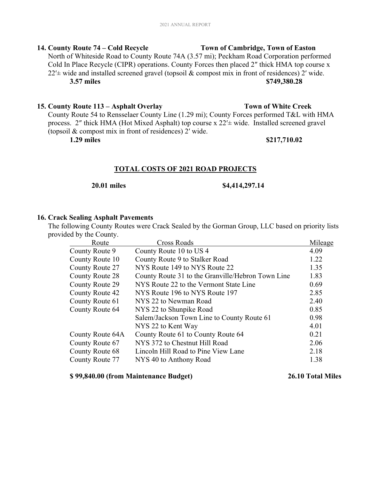### **14. County Route 74 – Cold Recycle Town of Cambridge, Town of Easton**

North of Whiteside Road to County Route 74A (3.57 mi); Peckham Road Corporation performed Cold In Place Recycle (CIPR) operations. County Forces then placed 2″ thick HMA top course x  $22'$ ± wide and installed screened gravel (topsoil & compost mix in front of residences) 2' wide. **3.57 miles \$749,380.28** 

#### **15. County Route 113 – Asphalt Overlay Town of White Creek**

County Route 54 to Rensselaer County Line (1.29 mi); County Forces performed T&L with HMA process. 2″ thick HMA (Hot Mixed Asphalt) top course x 22′± wide. Installed screened gravel (topsoil & compost mix in front of residences) 2′ wide.

#### **1.29 miles** \$217,710.02

#### **TOTAL COSTS OF 2021 ROAD PROJECTS**

#### **20.01 miles \$4,414,297.14**

#### **16. Crack Sealing Asphalt Pavements**

The following County Routes were Crack Sealed by the Gorman Group, LLC based on priority lists provided by the County.

| Route            | Cross Roads                                       | Mileage |
|------------------|---------------------------------------------------|---------|
| County Route 9   | County Route 10 to US 4                           | 4.09    |
| County Route 10  | County Route 9 to Stalker Road                    | 1.22    |
| County Route 27  | NYS Route 149 to NYS Route 22                     | 1.35    |
| County Route 28  | County Route 31 to the Granville/Hebron Town Line | 1.83    |
| County Route 29  | NYS Route 22 to the Vermont State Line            | 0.69    |
| County Route 42  | NYS Route 196 to NYS Route 197                    | 2.85    |
| County Route 61  | NYS 22 to Newman Road                             | 2.40    |
| County Route 64  | NYS 22 to Shunpike Road                           | 0.85    |
|                  | Salem/Jackson Town Line to County Route 61        | 0.98    |
|                  | NYS 22 to Kent Way                                | 4.01    |
| County Route 64A | County Route 61 to County Route 64                | 0.21    |
| County Route 67  | NYS 372 to Chestnut Hill Road                     | 2.06    |
| County Route 68  | Lincoln Hill Road to Pine View Lane               | 2.18    |
| County Route 77  | NYS 40 to Anthony Road                            | 1.38    |
|                  |                                                   |         |

#### **\$ 99,840.00 (from Maintenance Budget) 26.10 Total Miles**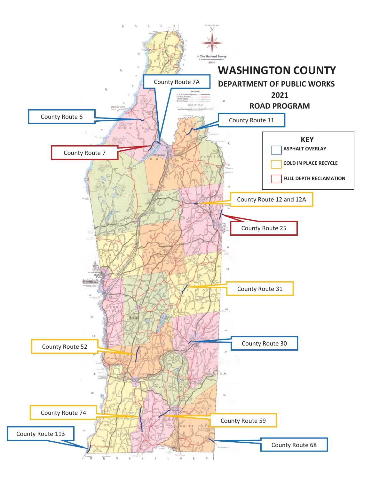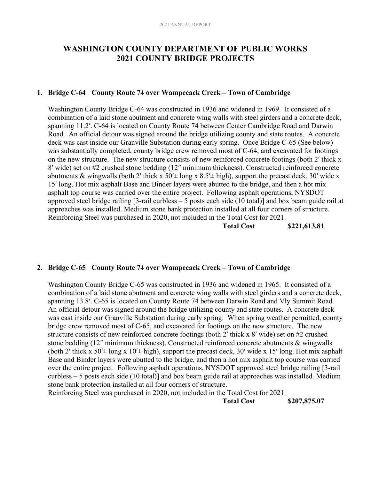### **WASHINGTON COUNTY DEPARTMENT OF PUBLIC WORKS 2021 COUNTY BRIDGE PROJECTS**

#### **1. Bridge C-64 County Route 74 over Wampecack Creek – Town of Cambridge**

Washington County Bridge C-64 was constructed in 1936 and widened in 1969. It consisted of a combination of a laid stone abutment and concrete wing walls with steel girders and a concrete deck, spanning 11.2′. C-64 is located on County Route 74 between Center Cambridge Road and Darwin Road. An official detour was signed around the bridge utilizing county and state routes. A concrete deck was cast inside our Granville Substation during early spring. Once Bridge C-65 (See below) was substantially completed, county bridge crew removed most of C-64, and excavated for footings on the new structure. The new structure consists of new reinforced concrete footings (both 2′ thick x 8′ wide) set on #2 crushed stone bedding (12″ minimum thickness). Constructed reinforced concrete abutments & wingwalls (both 2' thick x  $50' \pm$  long x  $8.5' \pm$  high), support the precast deck, 30' wide x 15′ long. Hot mix asphalt Base and Binder layers were abutted to the bridge, and then a hot mix asphalt top course was carried over the entire project. Following asphalt operations, NYSDOT approved steel bridge railing [3-rail curbless – 5 posts each side (10 total)] and box beam guide rail at approaches was installed. Medium stone bank protection installed at all four corners of structure. Reinforcing Steel was purchased in 2020, not included in the Total Cost for 2021.

 **Total Cost \$221,613.81** 

#### **2. Bridge C-65 County Route 74 over Wampecack Creek – Town of Cambridge**

Washington County Bridge C-65 was constructed in 1936 and widened in 1965. It consisted of a combination of a laid stone abutment and concrete wing walls with steel girders and a concrete deck, spanning 13.8′. C-65 is located on County Route 74 between Darwin Road and Vly Summit Road. An official detour was signed around the bridge utilizing county and state routes. A concrete deck was cast inside our Granville Substation during early spring. When spring weather permitted, county bridge crew removed most of C-65, and excavated for footings on the new structure. The new structure consists of new reinforced concrete footings (both 2′ thick x 8′ wide) set on #2 crushed stone bedding (12″ minimum thickness). Constructed reinforced concrete abutments & wingwalls (both 2' thick x  $50' \pm$  long x  $10' \pm$  high), support the precast deck, 30' wide x 15' long. Hot mix asphalt Base and Binder layers were abutted to the bridge, and then a hot mix asphalt top course was carried over the entire project. Following asphalt operations, NYSDOT approved steel bridge railing [3-rail curbless – 5 posts each side (10 total)] and box beam guide rail at approaches was installed. Medium stone bank protection installed at all four corners of structure.

Reinforcing Steel was purchased in 2020, not included in the Total Cost for 2021.

 **Total Cost \$207,875.07**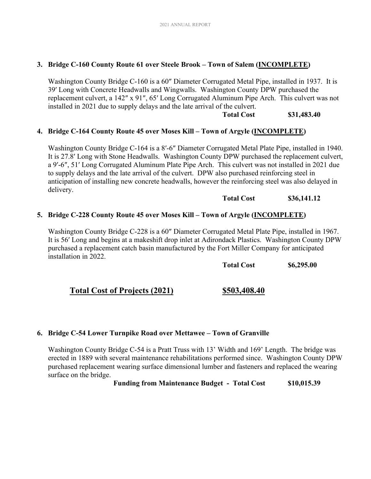#### **3. Bridge C-160 County Route 61 over Steele Brook – Town of Salem (INCOMPLETE)**

Washington County Bridge C-160 is a 60″ Diameter Corrugated Metal Pipe, installed in 1937. It is 39′ Long with Concrete Headwalls and Wingwalls. Washington County DPW purchased the replacement culvert, a 142″ x 91″, 65′ Long Corrugated Aluminum Pipe Arch. This culvert was not installed in 2021 due to supply delays and the late arrival of the culvert.

#### **Total Cost \$31,483.40**

#### **4. Bridge C-164 County Route 45 over Moses Kill – Town of Argyle (INCOMPLETE)**

Washington County Bridge C-164 is a 8′-6″ Diameter Corrugated Metal Plate Pipe, installed in 1940. It is 27.8′ Long with Stone Headwalls. Washington County DPW purchased the replacement culvert, a 9′-6″, 51′ Long Corrugated Aluminum Plate Pipe Arch. This culvert was not installed in 2021 due to supply delays and the late arrival of the culvert. DPW also purchased reinforcing steel in anticipation of installing new concrete headwalls, however the reinforcing steel was also delayed in delivery.

#### **Total Cost \$36,141.12**

#### **5. Bridge C-228 County Route 45 over Moses Kill – Town of Argyle (INCOMPLETE)**

Washington County Bridge C-228 is a 60″ Diameter Corrugated Metal Plate Pipe, installed in 1967. It is 56′ Long and begins at a makeshift drop inlet at Adirondack Plastics. Washington County DPW purchased a replacement catch basin manufactured by the Fort Miller Company for anticipated installation in 2022.

**Total Cost \$6,295.00** 

### **Total Cost of Projects (2021) \$503,408.40**

#### **6. Bridge C-54 Lower Turnpike Road over Mettawee – Town of Granville**

Washington County Bridge C-54 is a Pratt Truss with 13' Width and 169' Length. The bridge was erected in 1889 with several maintenance rehabilitations performed since. Washington County DPW purchased replacement wearing surface dimensional lumber and fasteners and replaced the wearing surface on the bridge.

**Funding from Maintenance Budget - Total Cost \$10,015.39**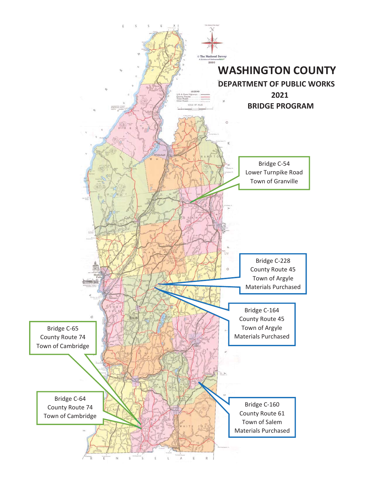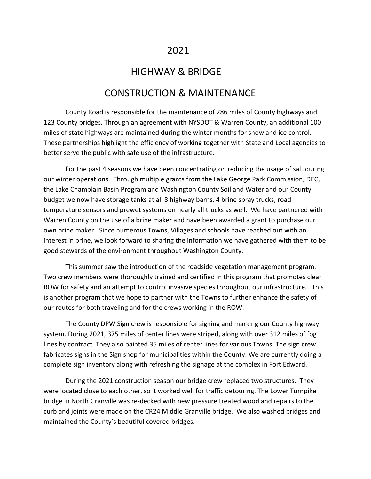### 2021

### HIGHWAY & BRIDGE

### CONSTRUCTION & MAINTENANCE

County Road is responsible for the maintenance of 286 miles of County highways and 123 County bridges. Through an agreement with NYSDOT & Warren County, an additional 100 miles of state highways are maintained during the winter months for snow and ice control. These partnerships highlight the efficiency of working together with State and Local agencies to better serve the public with safe use of the infrastructure.

For the past 4 seasons we have been concentrating on reducing the usage of salt during our winter operations. Through multiple grants from the Lake George Park Commission, DEC, the Lake Champlain Basin Program and Washington County Soil and Water and our County budget we now have storage tanks at all 8 highway barns, 4 brine spray trucks, road temperature sensors and prewet systems on nearly all trucks as well. We have partnered with Warren County on the use of a brine maker and have been awarded a grant to purchase our own brine maker. Since numerous Towns, Villages and schools have reached out with an interest in brine, we look forward to sharing the information we have gathered with them to be good stewards of the environment throughout Washington County.

This summer saw the introduction of the roadside vegetation management program. Two crew members were thoroughly trained and certified in this program that promotes clear ROW for safety and an attempt to control invasive species throughout our infrastructure. This is another program that we hope to partner with the Towns to further enhance the safety of our routes for both traveling and for the crews working in the ROW.

The County DPW Sign crew is responsible for signing and marking our County highway system. During 2021, 375 miles of center lines were striped, along with over 312 miles of fog lines by contract. They also painted 35 miles of center lines for various Towns. The sign crew fabricates signs in the Sign shop for municipalities within the County. We are currently doing a complete sign inventory along with refreshing the signage at the complex in Fort Edward.

During the 2021 construction season our bridge crew replaced two structures. They were located close to each other, so it worked well for traffic detouring. The Lower Turnpike bridge in North Granville was re-decked with new pressure treated wood and repairs to the curb and joints were made on the CR24 Middle Granville bridge. We also washed bridges and maintained the County's beautiful covered bridges.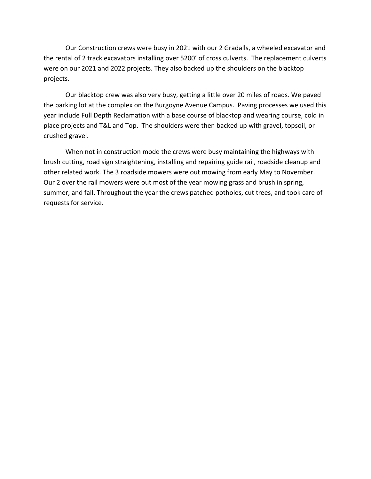Our Construction crews were busy in 2021 with our 2 Gradalls, a wheeled excavator and the rental of 2 track excavators installing over 5200' of cross culverts. The replacement culverts were on our 2021 and 2022 projects. They also backed up the shoulders on the blacktop projects.

Our blacktop crew was also very busy, getting a little over 20 miles of roads. We paved the parking lot at the complex on the Burgoyne Avenue Campus. Paving processes we used this year include Full Depth Reclamation with a base course of blacktop and wearing course, cold in place projects and T&L and Top. The shoulders were then backed up with gravel, topsoil, or crushed gravel.

When not in construction mode the crews were busy maintaining the highways with brush cutting, road sign straightening, installing and repairing guide rail, roadside cleanup and other related work. The 3 roadside mowers were out mowing from early May to November. Our 2 over the rail mowers were out most of the year mowing grass and brush in spring, summer, and fall. Throughout the year the crews patched potholes, cut trees, and took care of requests for service.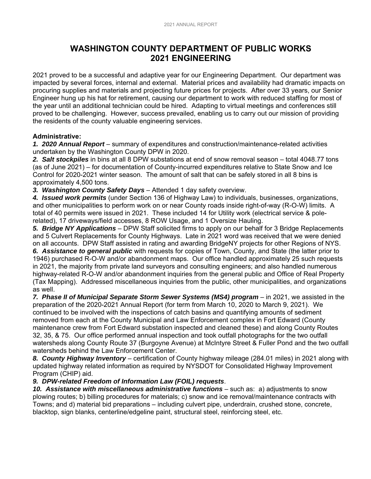### **WASHINGTON COUNTY DEPARTMENT OF PUBLIC WORKS 2021 ENGINEERING**

2021 proved to be a successful and adaptive year for our Engineering Department. Our department was impacted by several forces, internal and external. Material prices and availability had dramatic impacts on procuring supplies and materials and projecting future prices for projects. After over 33 years, our Senior Engineer hung up his hat for retirement, causing our department to work with reduced staffing for most of the year until an additional technician could be hired. Adapting to virtual meetings and conferences still proved to be challenging. However, success prevailed, enabling us to carry out our mission of providing the residents of the county valuable engineering services.

#### **Administrative:**

*1. 2020 Annual Report* – summary of expenditures and construction/maintenance-related activities undertaken by the Washington County DPW in 2020.

*2. Salt stockpiles* in bins at all 8 DPW substations at end of snow removal season – total 4048.77 tons (as of June 2021) – for documentation of County-incurred expenditures relative to State Snow and Ice Control for 2020-2021 winter season. The amount of salt that can be safely stored in all 8 bins is approximately 4,500 tons.

*3. Washington County Safety Days* – Attended 1 day safety overview.

*4. Issued work permits* (under Section 136 of Highway Law) to individuals, businesses, organizations, and other municipalities to perform work on or near County roads inside right-of-way (R-O-W) limits. A total of 40 permits were issued in 2021. These included 14 for Utility work (electrical service & polerelated), 17 driveways/field accesses, 8 ROW Usage, and 1 Oversize Hauling.

*5. Bridge NY Applications* – DPW Staff solicited firms to apply on our behalf for 3 Bridge Replacements and 5 Culvert Replacements for County Highways. Late in 2021 word was received that we were denied on all accounts. DPW Staff assisted in rating and awarding BridgeNY projects for other Regions of NYS.

*6. Assistance to general public* with requests for copies of Town, County, and State (the latter prior to 1946) purchased R-O-W and/or abandonment maps. Our office handled approximately 25 such requests in 2021, the majority from private land surveyors and consulting engineers; and also handled numerous highway-related R-O-W and/or abandonment inquiries from the general public and Office of Real Property (Tax Mapping). Addressed miscellaneous inquiries from the public, other municipalities, and organizations as well.

7. Phase II of Municipal Separate Storm Sewer Systems (MS4) program - in 2021, we assisted in the preparation of the 2020-2021 Annual Report (for term from March 10, 2020 to March 9, 2021). We continued to be involved with the inspections of catch basins and quantifying amounts of sediment removed from each at the County Municipal and Law Enforcement complex in Fort Edward (County maintenance crew from Fort Edward substation inspected and cleaned these) and along County Routes 32, 35, & 75. Our office performed annual inspection and took outfall photographs for the two outfall watersheds along County Route 37 (Burgoyne Avenue) at McIntyre Street & Fuller Pond and the two outfall watersheds behind the Law Enforcement Center.

*8. County Highway Inventory* – certification of County highway mileage (284.01 miles) in 2021 along with updated highway related information as required by NYSDOT for Consolidated Highway Improvement Program (CHIP) aid.

#### *9. DPW-related Freedom of Information Law (FOIL) requests*.

*10. Assistance with miscellaneous administrative functions* – such as: a) adjustments to snow plowing routes; b) billing procedures for materials; c) snow and ice removal/maintenance contracts with Towns; and d) material bid preparations – including culvert pipe, underdrain, crushed stone, concrete, blacktop, sign blanks, centerline/edgeline paint, structural steel, reinforcing steel, etc.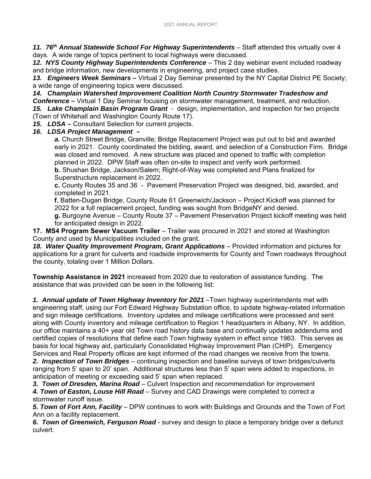11. 76<sup>th</sup> Annual Statewide School For Highway Superintendents – Staff attended this virtually over 4 days. A wide range of topics pertinent to local highways were discussed.

12. NYS County Highway Superintendents Conference - This 2 day webinar event included roadway and bridge information, new developments in engineering, and project case studies.

*13. Engineers Week Seminars –* Virtual 2 Day Seminar presented by the NY Capital District PE Society; a wide range of engineering topics were discussed.

*14. Champlain Watershed Improvement Coalition North Country Stormwater Tradeshow and Conference –* Virtual 1 Day Seminar focusing on stormwater management, treatment, and reduction. *15. Lake Champlain Basin Program Grant -* design, implementation, and inspection for two projects

(Town of Whitehall and Washington County Route 17).

*15. LDSA –* Consultant Selection for current projects.

#### *16. LDSA Project Management –*

*a.* Church Street Bridge, Granville; Bridge Replacement Project was put out to bid and awarded early in 2021. County coordinated the bidding, award, and selection of a Construction Firm. Bridge was closed and removed. A new structure was placed and opened to traffic with completion planned in 2022. DPW Staff was often on-site to inspect and verify work performed. **b.** Shushan Bridge, Jackson/Salem; Right-of-Way was completed and Plans finalized for Superstructure replacement in 2022.

**c.** County Routes 35 and 36 - Pavement Preservation Project was designed, bid, awarded, and completed in 2021.

**f.** Batten-Dugan Bridge, County Route 61 Greenwich/Jackson – Project Kickoff was planned for 2022 for a full replacement project, funding was sought from BridgeNY and denied.

**g.** Burgoyne Avenue – County Route 37 – Pavement Preservation Project kickoff meeting was held for anticipated design in 2022.

**17. MS4 Program Sewer Vacuum Trailer** – Trailer was procured in 2021 and stored at Washington County and used by Municipalities included on the grant.

18. Water Quality Improvement Program, Grant Applications - Provided information and pictures for applications for a grant for culverts and roadside improvements for County and Town roadways throughout the county, totaling over 1 Million Dollars.

**Township Assistance in 2021** increased from 2020 due to restoration of assistance funding. The assistance that was provided can be seen in the following list:

*1. Annual update of Town Highway Inventory for 2021* –Town highway superintendents met with engineering staff, using our Fort Edward Highway Substation office, to update highway-related information and sign mileage certifications. Inventory updates and mileage certifications were processed and sent along with County inventory and mileage certification to Region 1 headquarters in Albany, NY. In addition, our office maintains a 40+ year old Town road history data base and continually updates addendums and certified copies of resolutions that define each Town highway system in effect since 1963. This serves as basis for local highway aid, particularly Consolidated Highway Improvement Plan (CHIP). Emergency Services and Real Property offices are kept informed of the road changes we receive from the towns.

*2. Inspection of Town Bridges* – continuing inspection and baseline surveys of town bridges/culverts ranging from 5' span to 20' span. Additional structures less than 5' span were added to inspections, in anticipation of meeting or exceeding said 5' span when replaced.

*3. Town of Dresden, Marina Road* – Culvert Inspection and recommendation for improvement

*4. Town of Easton, Louse Hill Road* – Survey and CAD Drawings were completed to correct a stormwater runoff issue.

*5. Town of Fort Ann, Facility* – DPW continues to work with Buildings and Grounds and the Town of Fort Ann on a facility replacement.

*6. Town of Greenwich, Ferguson Road* - survey and design to place a temporary bridge over a defunct culvert.